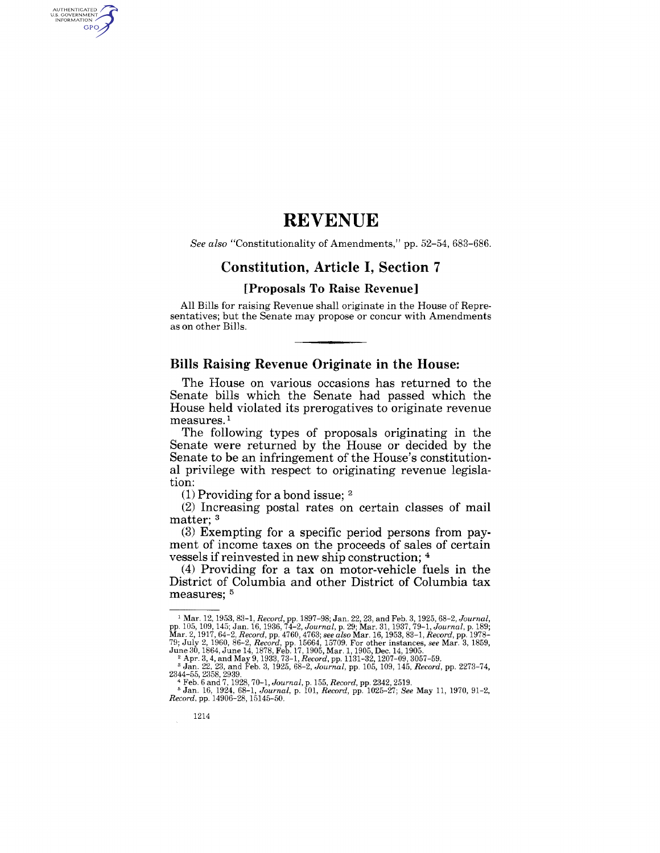### **REVENUE**

*See also* "Constitutionality of Amendments," pp. 52-54, 683-686.

### **Constitution, Article I, Section 7**

#### **[Proposals To Raise Revenue]**

All Bills for raising Revenue shall originate in the House of Representatives; but the Senate may propose or concur with Amendments as on other Bills.

#### **Bills Raising Revenue Originate in the House:**

The House on various occasions has returned to the Senate bills which the Senate had passed which the House held violated its prerogatives to originate revenue measures.<sup>1</sup>

The following types of proposals originating in the Senate were returned by the House or decided by the Senate to be an infringement of the House's constitutional privilege with respect to originating revenue legislation:

 $(1)$  Providing for a bond issue; <sup>2</sup>

(2) Increasing postal rates on certain classes of mail matter: <sup>3</sup>

(3) Exempting for a specific period persons from payment of income taxes on the proceeds of sales of certain vessels if reinvested in new ship construction; 4

(4) Providing for a tax on motor-vehicle fuels in the District of Columbia and other District of Columbia tax measures:  $5$ 

AUTHENTICATED<br>U.S. GOVERNMENT<br>INFORMATION **GPO** 

<sup>&</sup>lt;sup>1</sup> Mar. 12, 1953, 83-1, *Record*, pp. 1897–98; Jan. 22, 23, and Feb. 3, 1925, 68-2, *Journal*, pp. 105, 109, 145; Jan. 16, 1936, 74-2, *Journal*, p. 29; Mar. 31, 1953, 79-1, *Journal*, p. 189; Mar. 2, 1917, 64-2, *Record* 

<sup>4</sup>Feb. 6 and 7,1928,70-1, *Journal,* p. 155, *Record,* pp. 2342, 2519. 5 Jan. 16, 1924, 68-1, *Journal,* p. 101, *Record,* pp. 1025-27; *See* May 11, 1970, 91-2, *Record,* pp. 14906-28, 15145-50.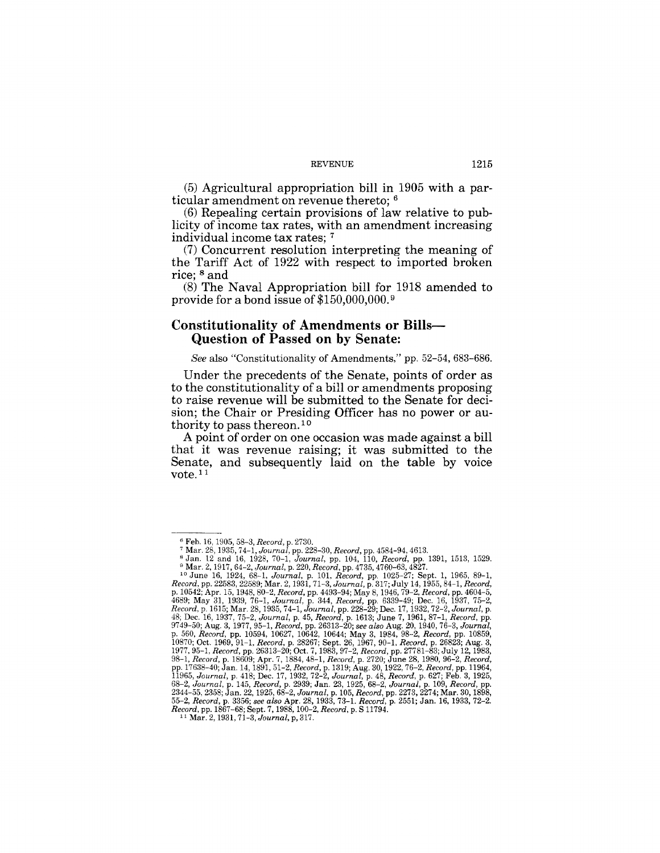#### REVENUE 1215

(5) Agricultural appropriation bill in 1905 with a particular amendment on revenue thereto; 6

(6) Repealing certain provisions of law relative to publicity of income tax rates, with an amendment increasing individual income tax rates; 7

(7) Concurrent resolution interpreting the meaning of the Tariff Act of 1922 with respect to imported broken rice; 8 and

(8) The Naval Appropriation bill for 1918 amended to provide for a bond issue of \$150,000,000. 9

#### **Constitutionality of Amendments or Bills-Question of Passed on by Senate:**

*See* also "Constitutionality of Amendments," pp. 52-54, 683-686.

Under the precedents of the Senate, points of order as to the constitutionality of a bill or amendments proposing to raise revenue will be submitted to the Senate for decision; the Chair or Presiding Officer has no power or authority to pass thereon.<sup>10</sup>

A point of order on one occasion was made against a bill that it was revenue raising; it was submitted to the Senate, and subsequently laid on the table by voice vote.<sup>11</sup>

<sup>&</sup>lt;sup>6</sup> Feb. 16, 1905, 58–3*, Record,* p. 2730.<br><sup>7</sup> Mar. 28, 1935, 74–1*, Journal,* pp. 228–30, *Record, pp. 4584–94, 4613.*<br><sup>8</sup> Jan. 12 and 16, 1928, 70–1, *Journal, pp. 104, 110, Record, pp. 1391, 1513, 1529.* 

<sup>&</sup>lt;sup>9</sup> Mar. 2, 1917, 64-2, Journal, p. 220, Record, pp. 4785, 4760-63, 4827.<br>
<sup>10</sup> June 16, 1924, 68-1, Journal, p. 101, Record, pp. 1025-27; Sept. 1, 1965, 89-1,<br>
Record, pp. 22588, 22589; Mar. 2, 1931, 71-3, Journal, p. 31 *Record,* pp.1867-68; Sept. 7, 1988, 100-2, *Record,* p. S 11794. 11 Mar. 2, 1931, 71-3, *Journal,* p, 317.